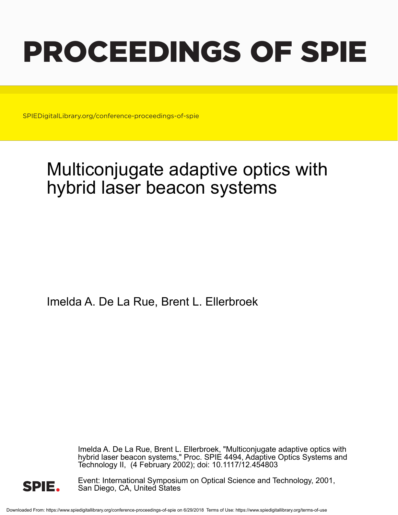# PROCEEDINGS OF SPIE

SPIEDigitalLibrary.org/conference-proceedings-of-spie

## Multiconjugate adaptive optics with hybrid laser beacon systems

Imelda A. De La Rue, Brent L. Ellerbroek

Imelda A. De La Rue, Brent L. Ellerbroek, "Multiconjugate adaptive optics with hybrid laser beacon systems," Proc. SPIE 4494, Adaptive Optics Systems and Technology II, (4 February 2002); doi: 10.1117/12.454803



Event: International Symposium on Optical Science and Technology, 2001, San Diego, CA, United States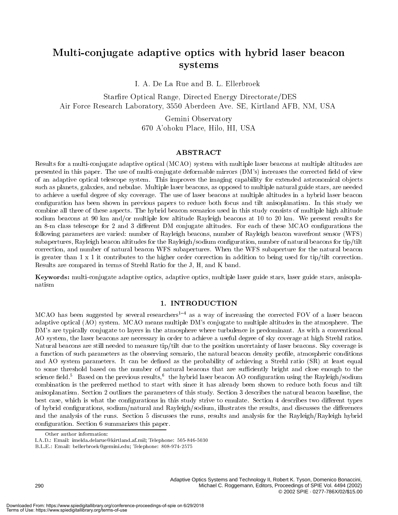### Multi-conjugate adaptive optics with hybrid laser beacon systems

I. A. De La Rue and B. L. Ellerbroek

Starfire Optical Range, Directed Energy Directorate/DES Air Force Research Laboratory, 3550 Aberdeen Ave. SE, Kirtland AFB, NM, USA

> Gemini Observatory 670 A'ohoku Place, Hilo, HI, USA

#### ABSTRACT

Results for a multi-conjugate adaptive optical (MCAO) system with multiple laser beacons at multiple altitudes are presented in this paper. The use of multi-conjugate deformable mirrors (DM's) increases the corrected field of view of an adaptive optical telescope system. This improves the imaging capability for extended astronomical ob jects such as planets, galaxies, and nebulae. Multiple laser beacons, as opposed to multiple natural guide stars, are needed to achieve a useful degree of sky coverage. The use of laser beacons at multiple altitudes in a hybrid laser beacon conguration has been shown in previous papers to reduce both focus and tilt anisoplanatism. In this study we combine all three of these aspects. The hybrid beacon scenarios used in this study consists of multiple high altitude sodium beacons at 90 km and/or multiple low altitude Rayleigh beacons at 10 to 20 km. We present results for an 8-m class telescope for 2 and 3 different DM conjugate altitudes. For each of these MCAO configurations the following parameters are varied: number of Rayleigh beacons, number of Rayleigh beacon wavefront sensor (WFS) subapertures, Rayleigh beacon altitudes for the Rayleigh/sodium conguration, number of natural beacons for tip/tilt correction, and number of natural beacon WFS subapertures. When the WFS subaperture for the natural beacon is greater than 1 x 1 it contributes to the higher order correction in addition to being used for tip/tilt correction. Results are compared in terms of Strehl Ratio for the J, H, and K band.

Keywords: multi-conjugate adaptive optics, adaptive optics, multiple laser guide stars, laser guide stars, anisoplanatism

#### 1. INTRODUCTION

MCAO has been suggested by several researchers<sup>1-4</sup> as a way of increasing the corrected FOV of a laser beacon adaptive optical (AO) system. MCAO means multiple DM's conjugate to multiple altitudes in the atmosphere. The DM's are typically conjugate to layers in the atmosphere where turbulence is predominant. As with a conventional AO system, the laser beacons are necessary in order to achieve a useful degree of sky coverage at high Strehl ratios. Natural beacons are still needed to measure tip/tilt due to the position uncertainty of laser beacons. Sky coverage is a function of such parameters as the observing scenario, the natural beacon density profile, atmospheric conditions and AO system parameters. It can be defined as the probability of achieving a Strehl ratio (SR) at least equal to some threshold based on the number of natural beacons that are sufficiently bright and close enough to the science neid. "Based on the previous results," the hybrid laser beacon AO configuration using the Rayleigh/sodium combination is the preferred method to start with since it has already been shown to reduce both focus and tilt anisoplanatism. Section 2 outlines the parameters of this study. Section 3 describes the natural beacon baseline, the best case, which is what the configurations in this study strive to emulate. Section 4 describes two different types of hybrid configurations, sodium/natural and Rayleigh/sodium, illustrates the results, and discusses the differences and the analysis of the runs. Section 5 discusses the runs, results and analysis for the Rayleigh/Rayleigh hybrid conguration. Section 6 summarizes this paper.

I.A.D.: Email: imelda.delarue@kirtland.af.mil; Telephone: 505-846-5030

B.L.E.: Email: bellerbroek@gemini.edu; Telephone: 808-974-2575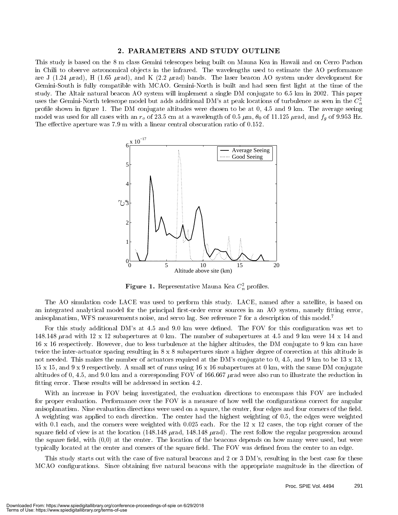#### 2. PARAMETERS AND STUDY OUTLINE

This study is based on the 8 m class Gemini telescopes being built on Mauna Kea in Hawaii and on Cerro Pachon in Chili to observe astronomical objects in the infrared. The wavelengths used to estimate the AO performance are J (1.24  $\mu$ rad), H (1.65  $\mu$ rad), and K (2.2  $\mu$ rad) bands. The laser beacon AO system under development for Gemini-South is fully compatible with MCAO. Gemini-North is built and had seen first light at the time of the study. The Altair natural beacon AO system will implement a single DM conjugate to 6.5 km in 2002. This paper uses the Gemini-North telescope model but adds additional DM's at peak locations of turbulence as seen in the  $C_n^2$ profile shown in figure 1. The DM conjugate altitudes were chosen to be at 0, 4.5 and 9 km. The average seeing model was used for all cases with an  $r_o$  of 23.5 cm at a wavelength of 0.5  $\mu$ m,  $\theta_0$  of 11.125  $\mu$ rad, and  $f_g$  of 9.953 Hz. The effective aperture was  $7.9 \text{ m}$  with a linear central obscuration ratio of  $0.152$ .



**Figure 1.** Representative Mauna Kea  $C_n$  promes.

The AO simulation code LACE was used to perform this study. LACE, named after a satellite, is based on an integrated analytical model for the principal first-order error sources in an AO system, namely fitting error, anisoplanatism, WFS measurements noise, and servo lag. See reference 7 for a description of this model.<sup>7</sup>

For this study additional DM's at 4.5 and 9.0 km were defined. The FOV for this configuration was set to 148.148  $\mu$ rad with 12 x 12 subapertures at 0 km. The number of subapertures at 4.5 and 9 km were 14 x 14 and 16 x 16 respectively. However, due to less turbulence at the higher altitudes, the DM conjugate to 9 km can have twice the inter-actuator spacing resulting in 8 x 8 subapertures since a higher degree of correction at this altitude is not needed. This makes the number of actuators required at the DM's conjugate to 0, 4.5, and 9 km to be 13 x 13. 15 x 15, and 9 x 9 respectively. A small set of runs using 16 x 16 subapertures at 0 km, with the same DM conjugate altitudes of 0, 4.5, and 9.0 km and a corresponding FOV of 166.667  $\mu$  rad were also run to illustrate the reduction in fitting error. These results will be addressed in section 4.2.

With an increase in FOV being investigated, the evaluation directions to encompass this FOV are included for proper evaluation. Performance over the FOV is a measure of how well the configurations correct for angular anisoplanatism. Nine evaluation directions were used on a square, the center, four edges and four corners of the field. A weighting was applied to each direction. The center had the highest weighting of 0.5, the edges were weighted with 0.1 each, and the corners were weighted with  $0.025$  each. For the 12 x 12 cases, the top right corner of the square field of view is at the location  $(148.148 \mu rad, 148.148 \mu rad)$ . The rest follow the regular progression around the square field, with  $(0,0)$  at the center. The location of the beacons depends on how many were used, but were typically located at the center and corners of the square field. The FOV was defined from the center to an edge.

This study starts out with the case of five natural beacons and 2 or 3 DM's, resulting in the best case for these MCAO configurations. Since obtaining five natural beacons with the appropriate magnitude in the direction of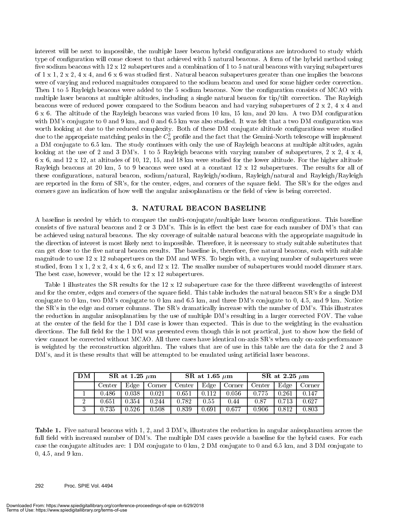interest will be next to impossible, the multiple laser beacon hybrid congurations are introduced to study which type of configuration will come closest to that achieved with 5 natural beacons. A form of the hybrid method using five sodium beacons with  $12 \times 12$  subapertures and a combination of 1 to 5 natural beacons with varying subapertures of  $1 \times 1$ ,  $2 \times 2$ ,  $4 \times 4$ , and  $6 \times 6$  was studied first. Natural beacon subapertures greater than one implies the beacons were of varying and reduced magnitudes compared to the sodium beacon and used for some higher order correction. Then 1 to 5 Rayleigh beacons were added to the 5 sodium beacons. Now the configuration consists of MCAO with multiple laser beacons at multiple altitudes, including a single natural beacon for tip/tilt correction. The Rayleigh beacons were of reduced power compared to the Sodium beacon and had varying subapertures of 2 x 2, 4 x 4 and  $6 \times 6$ . The altitude of the Rayleigh beacons was varied from 10 km, 15 km, and 20 km. A two DM configuration with DM's conjugate to 0 and 9 km, and 0 and 6.5 km was also studied. It was felt that a two DM configuration was worth looking at due to the reduced complexity. Both of these DM conjugate altitude configurations were studied due to the appropriate matching peaks in the  $C_n^2$  profile and the fact that the Gemini-North telescope will implement a DM conjugate to 6.5 km. The study continues with only the use of Rayleigh beacons at multiple altitudes, again looking at the use of 2 and 3 DM's. 1 to 5 Rayleigh beacons with varying number of subapertures, 2 x 2, 4 x 4,  $6 \times 6$ , and  $12 \times 12$ , at altitudes of 10, 12, 15, and 18 km were studied for the lower altitude. For the higher altitude Rayleigh beacons at 20 km, 5 to 9 beacons were used at a constant 12 x 12 subapertures. The results for all of these congurations, natural beacon, sodium/natural, Rayleigh/sodium, Rayleigh/natural and Rayleigh/Rayleigh are reported in the form of SR's, for the center, edges, and corners of the square field. The SR's for the edges and corners gave an indication of how well the angular anisoplanatism or the field of view is being corrected.

#### 3. NATURAL BEACON BASELINE

A baseline is needed by which to compare the multi-conjugate/multiple laser beacon congurations. This baseline consists of five natural beacons and 2 or 3 DM's. This is in effect the best case for each number of DM's that can be achieved using natural beacons. The sky coverage of suitable natural beacons with the appropriate magnitude in the direction of interest is most likely next to impossible. Therefore, it is necessary to study suitable substitutes that can get close to the five natural beacon results. The baseline is, therefore, five natural beacons, each with suitable magnitude to use 12 x 12 subapertures on the DM and WFS. To begin with, a varying number of subapertures were studied, from  $1 \times 1$ ,  $2 \times 2$ ,  $4 \times 4$ ,  $6 \times 6$ , and  $12 \times 12$ . The smaller number of subapertures would model dimmer stars. The best case, however, would be the 12 x 12 subapertures.

Table 1 illustrates the SR results for the 12 x 12 subaperture case for the three different wavelengths of interest and for the center, edges and corners of the square field. This table includes the natural beacon SR's for a single DM conjugate to 0 km, two DM's conjugate to 0 km and 6.5 km, and three DM's conjugate to 0, 4.5, and 9 km. Notice the SR's in the edge and corner columns. The SR's dramatically increase with the number of DM's. This illustrates the reduction in angular anisoplanatism by the use of multiple DM's resulting in a larger corrected FOV. The value at the center of the field for the 1 DM case is lower than expected. This is due to the weighting in the evaluation directions. The full field for the 1 DM was presented even though this is not practical, just to show how the field of view cannot be corrected without MCAO. All three cases have identical on-axis SR's when only on-axis performance is weighted by the reconstruction algorithm. The values that are of use in this table are the data for the 2 and 3 DM's, and it is these results that will be attempted to be emulated using artificial laser beacons.

| DM             |        | SR at 1.25 $\mu$ m |        |        | SR at 1.65 $\mu$ m |        | SR at 2.25 $\mu$ m |       |        |  |
|----------------|--------|--------------------|--------|--------|--------------------|--------|--------------------|-------|--------|--|
|                | Center | Edge               | Corner | Center | Edge               | Corner | Center             | Edge  | Corner |  |
|                | 0.486  | 0.038              | 0.021  | 0.651  | 0.112              | 0.056  | 0.775              | 0.261 | 0.147  |  |
| $\overline{2}$ | 0.651  | 0.354              | 0.244  | 0.782  | 0.55               | 0.44   | 0.87               | 0.713 | 0.627  |  |
| 3              | 0.735  | 0.526              | 0.508  | 0.839  | 0.691              | 0.677  | 0.906              | 0.812 | 0.803  |  |

Table 1. Five natural beacons with 1, 2, and 3 DM's, illustrates the reduction in angular anisoplanatism across the full field with increased number of DM's. The multiple DM cases provide a baseline for the hybrid cases. For each case the conjugate altitudes are: 1 DM conjugate to 0 km, 2 DM conjugate to 0 and 6.5 km, and 3 DM conjugate to 0, 4.5, and 9 km.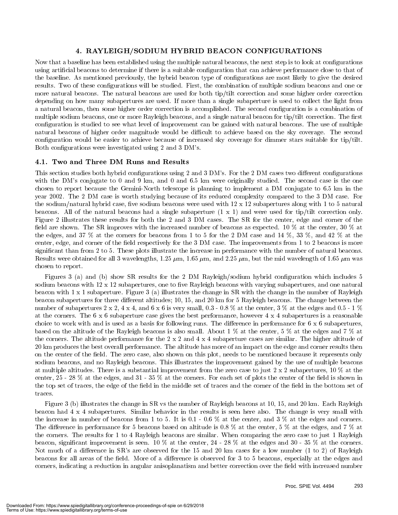#### 4. RAYLEIGH/SODIUM HYBRID BEACON CONFIGURATIONS

Now that a baseline has been established using the multiple natural beacons, the next step is to look at configurations using artificial beacons to determine if there is a suitable configuration that can achieve performance close to that of the baseline. As mentioned previously, the hybrid beacon type of congurations are most likely to give the desired results. Two of these configurations will be studied. First, the combination of multiple sodium beacons and one or more natural beacons. The natural beacons are used for both tip/tilt correction and some higher order correction depending on how many subapertures are used. If more than a single subaperture is used to collect the light from a natural beacon, then some higher order correction is accomplished. The second conguration is a combination of multiple sodium beacons, one or more Rayleigh beacons, and a single natural beacon for tip/tilt correction. The first configuration is studied to see what level of improvement can be gained with natural beacons. The use of multiple natural beacons of higher order magnitude would be difficult to achieve based on the sky coverage. The second configuration would be easier to achieve because of increased sky coverage for dimmer stars suitable for tip/tilt. Both configurations were investigated using 2 and 3 DM's.

#### 4.1. Two and Three DM Runs and Results

This section studies both hybrid configurations using 2 and 3 DM's. For the 2 DM cases two different configurations with the DM's conjugate to 0 and 9 km, and 0 and 6.5 km were originally studied. The second case is the one chosen to report because the Gemini-North telescope is planning to implement a DM conjugate to 6.5 km in the year 2002. The 2 DM case is worth studying because of its reduced complexity compared to the 3 DM case. For the sodium/natural hybrid case, five sodium beacons were used with  $12 \times 12$  subapertures along with 1 to 5 natural beacons. All of the natural beacons had a single subaperture  $(1 \times 1)$  and were used for tip/tilt correction only. Figure 2 illustrates these results for both the 2 and 3 DM cases. The SR for the center, edge and corner of the field are shown. The SR improves with the increased number of beacons as expected. 10 % at the center, 30 % at the edges, and 37 % at the corners for beacons from 1 to 5 for the 2 DM case and 14 %, 33 %, and 42 % at the center, edge, and corner of the field respectively for the 3 DM case. The improvements from 1 to 2 beacons is more signicant than from 2 to 5. These plots illustrate the increase in performance with the number of natural beacons. Results were obtained for all 3 wavelengths, 1.25  $\mu$ m, 1.65  $\mu$ m, and 2.25  $\mu$ m, but the mid wavelength of 1.65  $\mu$ m was chosen to report.

Figures 3 (a) and (b) show SR results for the 2 DM Rayleigh/sodium hybrid conguration which includes 5 sodium beacons with  $12 \times 12$  subapertures, one to five Rayleigh beacons with varying subapertures, and one natural beacon with 1 x 1 subaperture. Figure 3 (a) illustrates the change in SR with the change in the number of Rayleigh beacon subapertures for three different altitudes; 10, 15, and 20 km for 5 Rayleigh beacons. The change between the number of subapertures  $2 \times 2$ ,  $4 \times 4$ , and  $6 \times 6$  is very small,  $0.3$  -  $0.8$  % at the center,  $3\%$  at the edges and  $0.5$  - 1 % at the corners. The 6 x 6 subaperture case gives the best performance, however 4 x 4 subapertures is a reasonable choice to work with and is used as a basis for following runs. The difference in performance for  $6 \times 6$  subapertures, based on the altitude of the Rayleigh beacons is also small. About 1 % at the center, 5 % at the edges and 7 % at the corners. The altitude performance for the  $2 \times 2$  and  $4 \times 4$  subaperture cases are similar. The higher altitude of 20 km produces the best overall performance. The altitude has more of an impact on the edge and corner results then on the center of the field. The zero case, also shown on this plot, needs to be mentioned because it represents only sodium beacons, and no Rayleigh beacons. This illustrates the improvement gained by the use of multiple beacons at multiple altitudes. There is a substantial improvement from the zero case to just  $2 \times 2$  subapertures,  $10\%$  at the center,  $25 - 28$  % at the edges, and  $31 - 35$  % at the corners. For each set of plots the center of the field is shown in the top set of traces, the edge of the field in the middle set of traces and the corner of the field in the bottom set of traces.

Figure 3 (b) illustrates the change in SR vs the number of Rayleigh beacons at 10, 15, and 20 km. Each Rayleigh beacon had 4 x 4 subapertures. Similar behavior in the results is seen here also. The change is very small with the increase in number of beacons from 1 to 5. It is  $0.1 - 0.6$  % at the center, and 3 % at the edges and corners. The difference in performance for 5 beacons based on altitude is 0.8 % at the center, 5 % at the edges, and 7 % at the corners. The results for 1 to 4 Rayleigh beacons are similar. When comparing the zero case to just 1 Rayleigh beacon, significant improvement is seen. 10  $\%$  at the center, 24 - 28  $\%$  at the edges and 30 - 35  $\%$  at the corners. Not much of a difference in SR's are observed for the 15 and 20 km cases for a low number (1 to 2) of Rayleigh beacons for all areas of the field. More of a difference is observed for 3 to 5 beacons, especially at the edges and corners, indicating a reduction in angular anisoplanatism and better correction over the field with increased number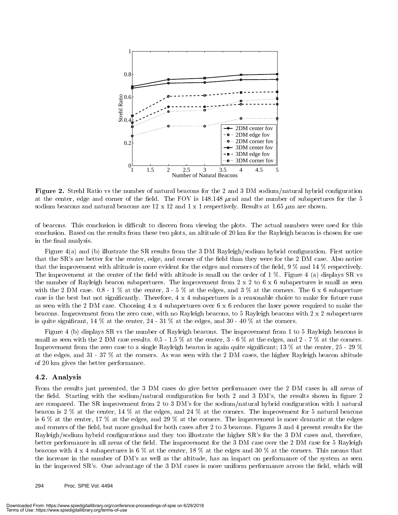

 $\bf r$  igure  $\bf z$ . Strein Ratio vs the number of natural beacons for the  $\bf z$  and  $\bf v$  DM sourum/natural hybrid configuration at the center, edge and corner of the field. The FOV is 148.148  $\mu$ rad and the number of subapertures for the 5 sodium beacons and natural beacons are 12 x 12 and 1 x 1 respectively. Results at 1.65  $\mu$ m are shown.

of beacons. This conclusion is difficult to discern from viewing the plots. The actual numbers were used for this conclusion. Based on the results from these two plots, an altitude of 20 km for the Rayleigh beacon is chosen for use in the final analysis.

Figure 4(a) and (b) illustrate the SR results from the 3 DM Rayleigh/sodium hybrid configuration. First notice that the SR's are better for the center, edge, and corner of the field than they were for the 2 DM case. Also notice that the improvement with altitude is more evident for the edges and corners of the field,  $9\%$  and  $14\%$  respectively. The improvement at the center of the field with altitude is small on the order of  $1\%$ . Figure 4 (a) displays SR vs the number of Rayleigh beacon subapertures. The improvement from  $2 \times 2$  to  $6 \times 6$  subapertures is small as seen with the 2 DM case.  $0.8$  - 1 % at the center,  $3 - 5$  % at the edges, and 3 % at the corners. The 6 x 6 subaperture case is the best but not signicantly. Therefore, 4 x 4 subapertures is a reasonable choice to make for future runs as seen with the 2 DM case. Choosing 4 x 4 subapertures over 6 x 6 reduces the laser power required to make the beacons. Improvement from the zero case, with no Rayleigh beacons, to 5 Rayleigh beacons with 2 x 2 subapertures is quite significant, 14  $\%$  at the center, 24 - 31  $\%$  at the edges, and 30 - 40  $\%$  at the corners.

Figure 4 (b) displays SR vs the number of Rayleigh beacons. The improvement from 1 to 5 Rayleigh beacons is small as seen with the 2 DM case results.  $0.5 - 1.5\%$  at the center,  $3 - 6\%$  at the edges, and  $2 - 7\%$  at the corners. Improvement from the zero case to a single Rayleigh beacon is again quite significant;  $13\%$  at the center,  $25$  -  $29\%$ at the edges, and 31 - 37 % at the corners. As was seen with the 2 DM cases, the higher Rayleigh beacon altitude of 20 km gives the better performance.

#### 4.2. Analysis

From the results just presented, the 3 DM cases do give better performance over the 2 DM cases in all areas of the field. Starting with the sodium/natural configuration for both 2 and 3 DM's, the results shown in figure 2 are compared. The SR improvement from 2 to 3 DM's for the sodium/natural hybrid conguration with 1 natural beacon is 2 % at the center, 14 % at the edges, and 24 % at the corners. The improvement for 5 natural beacons is 6 % at the center, 17 % at the edges, and 29 % at the corners. The improvement is more dramatic at the edges and corners of the field, but more gradual for both cases after 2 to 3 beacons. Figures 3 and 4 present results for the Rayleigh/sodium hybrid configurations and they too illustrate the higher SR's for the 3 DM cases and, therefore, better performance in all areas of the field. The improvement for the 3 DM case over the 2 DM case for 5 Rayleigh beacons with 4 x 4 subapertures is 6 % at the center, 18 % at the edges and 30 % at the corners. This means that the increase in the number of DM's as well as the altitude, has an impact on performance of the system as seen in the improved SR's. One advantage of the 3 DM cases is more uniform performance across the field, which will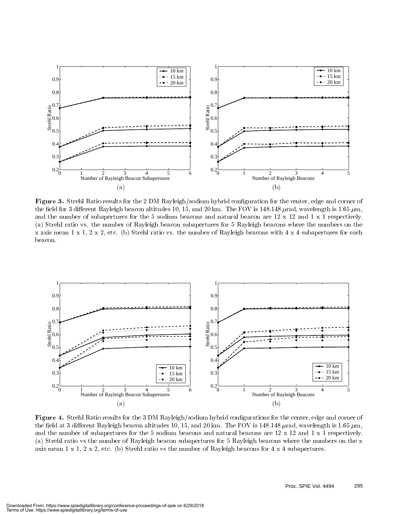

Figure 3. Strehl Ratio results for the 2 DM Rayleigh/sodium hybrid conguration for the center, edge and corner of the field for 3 different Rayleigh beacon altitudes 10, 15, and 20 km. The FOV is 148.148  $\mu$ rad, wavelength is 1.65  $\mu$ m, and the number of subapertures for the 5 sodium beacons and natural beacon are 12 x 12 and 1 x 1 respectively. (a) Strehl ratio vs. the number of Rayleigh beacon subapertures for 5 Rayleigh beacons where the numbers on the x axis mean  $1 \times 1$ ,  $2 \times 2$ , etc. (b) Strehl ratio vs. the number of Rayleigh beacons with  $4 \times 4$  subapertures for each beacon.



Figure 4. Strehl Ratio results for the 3 DM Rayleigh/sodium hybrid congurations for the center, edge and corner of the field at 3 different Rayleigh beacon altitudes 10, 15, and 20 km. The FOV is 148.148  $\mu$ rad, wavelength is 1.65  $\mu$ m, and the number of subapertures for the 5 sodium beacons and natural beacons are 12 x 12 and 1 x 1 respectively. (a) Strehl ratio vs the number of Rayleigh beacon subapertures for 5 Rayleigh beacons where the numbers on the x axis mean 1 x 1, 2 x 2, etc. (b) Strehl ratio vs the number of Rayleigh beacons for 4 x 4 subapertures.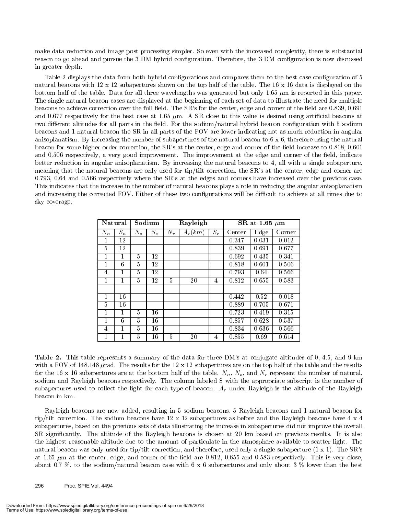make data reduction and image post processing simpler. So even with the increased complexity, there is substantial reason to go ahead and pursue the 3 DM hybrid configuration. Therefore, the 3 DM configuration is now discussed in greater depth.

Table 2 displays the data from both hybrid configurations and compares them to the best case configuration of 5 natural beacons with 12 x 12 subapertures shown on the top half of the table. The 16 x 16 data is displayed on the bottom half of the table. Data for all three wavelengths was generated but only 1.65  $\mu$ m is reported in this paper. The single natural beacon cases are displayed at the beginning of each set of data to illustrate the need for multiple beacons to achieve correction over the full field. The SR's for the center, edge and corner of the field are 0.839, 0.691 and 0.677 respectively for the best case at 1.65  $\mu$ m. A SR close to this value is desired using artificial beacons at two different altitudes for all parts in the field. For the sodium/natural hybrid beacon configuration with 5 sodium beacons and 1 natural beacon the SR in all parts of the FOV are lower indicating not as much reduction in angular anisoplanatism. By increasing the number of subapertures of the natural beacon to  $6 \times 6$ , therefore using the natural beacon for some higher order correction, the SR's at the center, edge and corner of the field increase to 0.818, 0.601 and 0.506 respectively, a very good improvement. The improvement at the edge and corner of the field, indicate better reduction in angular anisoplanatism. By increasing the natural beacons to 4, all with a single subaperture, meaning that the natural beacons are only used for tip/tilt correction, the SR's at the center, edge and corner are  $0.793$ ,  $0.64$  and  $0.566$  respectively where the SR's at the edges and corners have increased over the previous case. This indicates that the increase in the number of natural beacons plays a role in reducing the angular anisoplanatism and increasing the corrected FOV. Either of these two configurations will be difficult to achieve at all times due to sky coverage.

| Natural        |       |         | Sodium  |       | Rayleigh  |       | SR at 1.65 $\mu$ m |         |        |  |  |
|----------------|-------|---------|---------|-------|-----------|-------|--------------------|---------|--------|--|--|
| $N_n$          | $S_n$ | $N_{s}$ | $S_{s}$ | $N_r$ | $A_r(km)$ | $S_r$ | Center             | $E$ dge | Corner |  |  |
| 1              | 12    |         |         |       |           |       | 0.347              | 0.031   | 0.012  |  |  |
| 5              | 12    |         |         |       |           |       | 0.839              | 0.691   | 0.677  |  |  |
| 1              | 1     | 5       | 12      |       |           |       | 0.692              | 0.435   | 0.341  |  |  |
| 1              | 6     | 5       | 12      |       |           |       | 0.818              | 0.601   | 0.506  |  |  |
| $\overline{4}$ | 1     | 5       | 12      |       |           |       | 0.793              | 0.64    | 0.566  |  |  |
| 1              |       | 5       | 12      | 5     | 20        | 4     | 0.812              | 0.655   | 0.583  |  |  |
|                |       |         |         |       |           |       |                    |         |        |  |  |
| 1              | 16    |         |         |       |           |       | 0.442              | 0.52    | 0.018  |  |  |
| 5              | 16    |         |         |       |           |       | 0.889              | 0.705   | 0.671  |  |  |
| 1              | 1     | 5       | 16      |       |           |       | 0.723              | 0.419   | 0.315  |  |  |
| 1              | 6     | 5       | 16      |       |           |       | 0.857              | 0.628   | 0.537  |  |  |
| 4              | 1     | 5       | 16      |       |           |       | 0.834              | 0.636   | 0.566  |  |  |
| 1              |       | 5       | 16      | 5     | 20        | 4     | 0.855              | 0.69    | 0.614  |  |  |

Table 2. This table represents a summary of the data for three DM's at conjugate altitudes of 0, 4.5, and 9 km with a FOV of 148.148  $\mu$ rad. The results for the 12 x 12 subapertures are on the top half of the table and the results for the 16 x 16 subapertures are at the bottom half of the table.  $N_n$ ,  $N_s$ , and  $N_r$  represent the number of natural, sodium and Rayleigh beacons respectively. The column labeled S with the appropriate subscript is the number of subapertures used to collect the light for each type of beacon.  $A_r$  under Rayleigh is the altitude of the Rayleigh beacon in km.

Rayleigh beacons are now added, resulting in 5 sodium beacons,5 Rayleigh beacons and 1 natural beacon for tip/tilt correction. The sodium beacons have  $12 \times 12$  subapertures as before and the Rayleigh beacons have  $4 \times 4$ subapertures, based on the previous sets of data illustrating the increase in subapertures did not improve the overall SR signicantly. The altitude of the Rayleigh beacons is chosen at 20 km based on previous results. It is also the highest reasonable altitude due to the amount of particulate in the atmosphere available to scatter light. The natural beacon was only used for tip/tilt correction, and therefore, used only a single subaperture (1 x 1). The SR's at 1.65  $\mu$ m at the center, edge, and corner of the field are 0.812, 0.655 and 0.583 respectively. This is very close, about 0.7 %, to the sodium/natural beacon case with 6 x 6 subapertures and only about 3 % lower than the best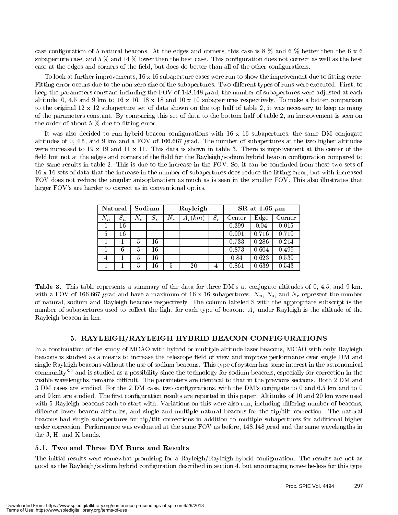case configuration of 5 natural beacons. At the edges and corners, this case is  $8\%$  and  $6\%$  better then the  $6 \times 6$ subaperture case, and 5 % and 14 % lower then the best case. This configuration does not correct as well as the best case at the edges and corners of the field, but does do better than all of the other configurations.

To look at further improvements,  $16 \times 16$  subaperture cases were run to show the improvement due to fitting error. Fitting error occurs due to the non-zero size of the subapertures. Two different types of runs were executed. First, to keep the parameters constant including the FOV of 148.148  $\mu$ rad, the number of subapertures were adjusted at each altitude, 0, 4.5 and 9 km to 16 x 16, 18 x 18 and 10 x 10 subapertures respectively. To make a better comparison to the original 12 x 12 subaperture set of data shown on the top half of table 2, it was necessary to keep as many of the parameters constant. By comparing this set of data to the bottom half of table 2, an improvement is seen on the order of about  $5\%$  due to fitting error.

It was also decided to run hybrid beacon configurations with  $16 \times 16$  subapertures, the same DM conjugate altitudes of 0, 4.5, and 9 km and a FOV of 166.667  $\mu$ rad. The number of subapertures at the two higher altitudes were increased to 19 x 19 and 11 x 11. This data is shown in table 3. There is improvement at the center of the field but not at the edges and corners of the field for the Rayleigh/sodium hybrid beacon configuration compared to the same results in table 2. This is due to the increase in the FOV. So, it can be concluded from these two sets of 16 x 16 sets of data that the increase in the number of subapertures does reduce the fitting error, but with increased FOV does not reduce the angular anisoplanatism as much as is seen in the smaller FOV. This also illustrates that larger FOV's are harder to correct as in conventional optics.

|       | Sodium<br>Natural |               |         | Rayleigh |           | SR at 1.65 $\mu$ m |        |       |        |  |
|-------|-------------------|---------------|---------|----------|-----------|--------------------|--------|-------|--------|--|
| $N_n$ | $S_n$             | $N_{s}$       | $S_{s}$ | $N_r$    | $A_r(km)$ | $S_r$              | Center | Edge  | Corner |  |
|       | 16                |               |         |          |           |                    | 0.399  | 0.04  | 0.015  |  |
| 5     | 16                |               |         |          |           |                    | 0.901  | 0.716 | 0.719  |  |
|       |                   | 5             | 16      |          |           |                    | 0.733  | 0.286 | 0.214  |  |
|       | 6                 | 5             | 16      |          |           |                    | 0.873  | 0.604 | 0.499  |  |
| 4     |                   | $\frac{5}{2}$ | 16      |          |           |                    | 0.84   | 0.623 | 0.539  |  |
|       |                   | 5             | 16      | 5        | 20        | 4                  | 0.861  | 0.639 | 0.543  |  |

Table 3. This table represents a summary of the data for three DM's at conjugate altitudes of 0, 4.5, and 9 km, with a FOV of 166.667  $\mu$ rad and have a maximum of 16 x 16 subapertures.  $N_n$ ,  $N_s$ , and  $N_r$  represent the number of natural, sodium and Rayleigh beacons respectively. The column labeled S with the appropriate subscript is the number of subapertures used to collect the light for each type of beacon.  $A_r$  under Rayleigh is the altitude of the Rayleigh beacon in km.

#### 5. RAYLEIGH/RAYLEIGH HYBRID BEACON CONFIGURATIONS

In a continuation of the study of MCAO with hybrid or multiple altitude laser beacons, MCAO with only Rayleigh beacons is studied as a means to increase the telescope field of view and improve performance over single DM and single Rayleigh beacons without the use of sodium beacons. This type of system has some interest in the astronomical community8,9 and is studied as a possibility since the technology for sodium beacons, especially for correction in the visible wavelengths, remains difficult. The parameters are identical to that in the previous sections. Both 2 DM and 3 DM cases are studied. For the 2 DM case, two congurations, with the DM's conjugate to 0 and 6.5 km and to 0 and 9 km are studied. The first configuration results are reported in this paper. Altitudes of 10 and 20 km were used with 5 Rayleigh beacons each to start with. Variations on this were also run, including differing number of beacons, different lower beacon altitudes, and single and multiple natural beacons for the tip/tilt correction. The natural beacons had single subapertures for tip/tilt corrections in addition to multiple subapertures for additional higher order correction. Performance was evaluated at the same FOV as before, 148.148  $\mu$  rad and the same wavelengths in the J, H, and K bands.

#### 5.1. Two and Three DM Runs and Results

The initial results were somewhat promising for a Rayleigh/Rayleigh hybrid conguration. The results are not as good as the Rayleigh/sodium hybrid conguration described in section 4, but encouraging none-the-less for this type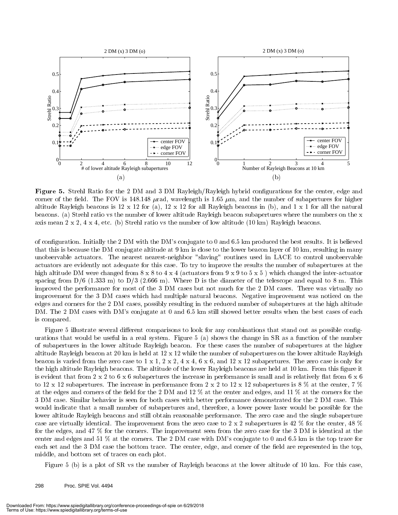

 $F_{\rm eff}$  and 3  $F_{\rm eff}$  strength for the 2 DM and 3 DM Rayleight/Rayleigh hybrid configurations for the center, edge and corner of the field. The FOV is 148.148  $\mu$ rad, wavelength is 1.65  $\mu$ m, and the number of subapertures for higher altitude Rayleigh beacons is  $12 \times 12$  for (a),  $12 \times 12$  for all Rayleigh beacons in (b), and  $1 \times 1$  for all the natural beacons. (a) Strehl ratio vs the number of lower altitude Rayleigh beacon subapertures where the numbers on the x axis mean 2 x 2, 4 x 4, etc. (b) Strehl ratio vs the number of low altitude (10 km) Rayleigh beacons.

of conguration. Initially the 2 DM with the DM's conjugate to 0 and 6.5 km produced the best results. It is believed that this is because the DM conjugate altitude at 9 km is close to the lower beacon layer of 10 km, resulting in many unobservable actuators. The nearest nearest-neighbor "slaving" routines used in LACE to control unobservable actuators are evidently not adequate for this case. To try to improve the results the number of subapertures at the high altitude DM were changed from  $8 \times 8$  to  $4 \times 4$  (actuators from  $9 \times 9$  to  $5 \times 5$ ) which changed the inter-actuator spacing from  $D/6$  (1.333 m) to  $D/3$  (2.666 m). Where D is the diameter of the telescope and equal to 8 m. This improved the performance for most of the 3 DM cases but not much for the 2 DM cases. There was virtually no improvement for the 3 DM cases which had multiple natural beacons. Negative improvement was noticed on the edges and corners for the 2 DM cases, possibly resulting in the reduced number of subapertures at the high altitude DM. The 2 DM cases with DM's conjugate at 0 and 6.5 km still showed better results when the best cases of each is compared.

Figure 5 illustrate several different comparisons to look for any combinations that stand out as possible configurations that would be useful in a real system. Figure 5 (a) shows the change in SR as a function of the number of subapertures in the lower altitude Rayleigh beacon. For these cases the number of subapertures at the higher altitude Rayleigh beacon at 20 km is held at 12 x 12 while the number of subapertures on the lower altitude Rayleigh beacon is varied from the zero case to  $1 \times 1$ ,  $2 \times 2$ ,  $4 \times 4$ ,  $6 \times 6$ , and  $12 \times 12$  subapertures. The zero case is only for the high altitude Rayleigh beacons. The altitude of the lower Rayleigh beacons are held at 10 km. From this figure it is evident that from  $2 \times 2$  to  $6 \times 6$  subapertures the increase in performance is small and is relatively flat from  $6 \times 6$ to 12 x 12 subapertures. The increase in performance from  $2 \times 2$  to  $12 \times 12$  subapertures is 8 % at the center, 7 % at the edges and corners of the field for the 2 DM and 12  $\%$  at the center and edges, and 11  $\%$  at the corners for the 3 DM case. Similar behavior is seen for both cases with better performance demonstrated for the 2 DM case. This would indicate that a small number of subapertures and, therefore, a lower power laser would be possible for the lower altitude Rayleigh beacons and still obtain reasonable performance. The zero case and the single subaperture case are virtually identical. The improvement from the zero case to 2 x 2 subapertures is 42 % for the center, 48 % for the edges, and 47 % for the corners. The improvement seen from the zero case for the 3 DM is identical at the center and edges and 51 % at the corners. The 2 DM case with DM's conjugate to 0 and 6.5 km is the top trace for each set and the 3 DM case the bottom trace. The center, edge, and corner of the field are represented in the top, middle, and bottom set of traces on each plot.

Figure 5 (b) is a plot of SR vs the number of Rayleigh beacons at the lower altitude of 10 km. For this case,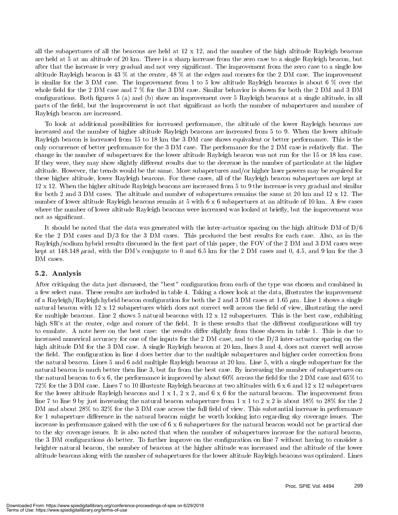all the subapertures of all the beacons are held at  $12 \times 12$ , and the number of the high altitude Rayleigh beacons are held at 5 at an altitude of 20 km. There is a sharp increase from the zero case to a single Rayleigh beacon, but after that the increase is very gradual and not very signicant. The improvement from the zero case to a single low altitude Rayleigh beacon is 43 % at the center, 48 % at the edges and corners for the 2 DM case. The improvement is similar for the 3 DM case. The improvement from 1 to 5 low altitude Rayleigh beacons is about 6 % over the whole field for the 2 DM case and 7  $\%$  for the 3 DM case. Similar behavior is shown for both the 2 DM and 3 DM configurations. Both figures 5 (a) and (b) show an improvement over 5 Rayleigh beacons at a single altitude, in all parts of the field, but the improvement is not that significant as both the number of subapertures and number of Rayleigh beacon are increased.

To look at additional possibilities for increased performance, the altitude of the lower Rayleigh beacons are increased and the number of higher altitude Rayleigh beacons are increased from 5 to 9. When the lower altitude Rayleigh beacon is increased from 15 to 18 km the 3 DM case shows equivalent or better performance. This is the only occurrence of better performance for the 3 DM case. The performance for the 2 DM case is relatively flat. The change in the number of subapertures for the lower altitude Rayleigh beacon was not run for the 15 or 18 km case. If they were, they may show slightly different results due to the decrease in the number of particulate at the higher altitude. However, the trends would be the same. More subapertures and/or higher laser powers may be required for these higher altitude, lower Rayleigh beacons. For these cases, all of the Rayleigh beacon subapertures are kept at 12 x 12. When the higher altitude Rayleigh beacons are increased from 5 to 9 the increase is very gradual and similar for both 2 and 3 DM cases. The altitude and number of subapertures remains the same at 20 km and 12 x 12. The number of lower altitude Rayleigh beacons remain at 5 with 6 x 6 subapertures at an altitude of 10 km. A few cases where the number of lower altitude Rayleigh beacons were increased was looked at briefly, but the improvement was not as signicant.

It should be noted that the data was generated with the inter-actuator spacing on the high altitude DM of D/6 for the 2 DM cases and D/3 for the 3 DM cases. This produced the best results for each case. Also, as in the Rayleigh/sodium hybrid results discussed in the first part of this paper, the FOV of the 2 DM and 3 DM cases were kept at 148.148  $\mu$ rad, with the DM's conjugate to 0 and 6.5 km for the 2 DM cases and 0, 4.5, and 9 km for the 3 DM cases.

#### 5.2. Analysis

After critiquing the data just discussed, the "best" conguration from each of the type was chosen and combined in a few select runs. These results are included in table 4. Taking a closer look at the data, illustrates the improvement of a Rayleigh/Rayleigh hybrid beacon configuration for both the 2 and 3 DM cases at 1.65  $\mu$ m. Line 1 shows a single natural beacon with  $12 \times 12$  subapertures which does not correct well across the field of view, illustrating the need for multiple beacons. Line 2 shows 5 natural beacons with  $12 \times 12$  subapertures. This is the best case, exhibiting high SR's at the center, edge and corner of the field. It is these results that the different configurations will try to emulate. A note here on the best case: the results differ slightly from those shown in table 1. This is due to increased numerical accuracy for one of the inputs for the  $2$  DM case, and to the  $D/3$  inter-actuator spacing on the high altitude DM for the 3 DM case. A single Rayleigh beacon at 20 km, lines 3 and 4, does not correct well across the field. The configuration in line 4 does better due to the multiple subapertures and higher order correction from the natural beacon. Lines 5 and 6 add multiple Rayleigh beacons at 20 km. Line 5, with a single subaperture for the natural beacon is much better then line 3, but far from the best case. By increasing the number of subapertures on the natural beacon to  $6 \times 6$ , the performance is improved by about  $60\%$  across the field for the 2 DM case and  $65\%$  to 72% for the 3 DM case. Lines 7 to 10 illustrate Rayleigh beacons at two altitudes with 6 x 6 and 12 x 12 subapertures for the lower altitude Rayleigh beacons and  $1 \times 1$ ,  $2 \times 2$ , and  $6 \times 6$  for the natural beacon. The improvement from line 7 to line 9 by just increasing the natural beacon subaperture from  $1 \times 1$  to  $2 \times 2$  is about  $18\%$  to  $28\%$  for the 2 DM and about  $28\%$  to  $32\%$  for the 3 DM case across the full field of view. This substantial increase in performance for 1 subaperture difference in the natural beacon might be worth looking into regarding sky coverage issues. The increase in performance gained with the use of 6 x 6 subapertures for the natural beacon would not be practical due to the sky coverage issues. It is also noted that when the number of subapertures increase for the natural beacon, the 3 DM configurations do better. To further improve on the configuration on line 7 without having to consider a brighter natural beacon, the number of beacons at the higher altitude was increased and the altitude of the lower altitude beacons along with the number of subapertures for the lower altitude Rayleigh beacons was optimized. Lines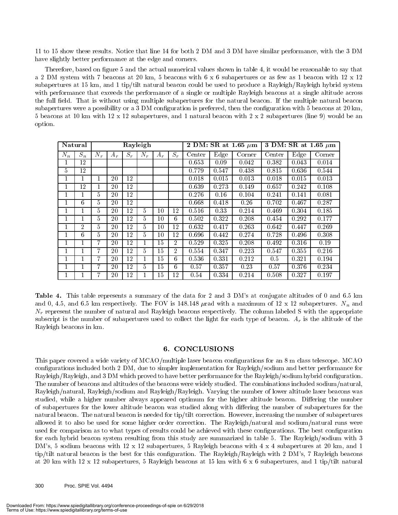11 to 15 show these results. Notice that line 14 for both 2 DM and 3 DM have similar performance, with the 3 DM have slightly better performance at the edge and corners.

Therefore, based on figure 5 and the actual numerical values shown in table 4, it would be reasonable to say that a 2 DM system with 7 beacons at 20 km, 5 beacons with 6 x 6 subapertures or as few as 1 beacon with 12 x 12 subapertures at 15 km, and 1 tip/tilt natural beacon could be used to produce a Rayleigh/Rayleigh hybrid system with performance that exceeds the performance of a single or multiple Rayleigh beacons at a single altitude across the full field. That is without using multiple subapertures for the natural beacon. If the multiple natural beacon subapertures were a possibility or a 3 DM configuration is preferred, then the configuration with 5 beacons at 20 km, 5 beacons at 10 km with 12 x 12 subapertures, and 1 natural beacon with 2 x 2 subapertures (line 9) would be an option.

|              | Natural        | Rayleigh       |       |       |       |       |                |        |       | 2 DM: SR at 1.65 $\mu$ m | 3 DM: SR at 1.65 $\mu$ m |       |        |  |
|--------------|----------------|----------------|-------|-------|-------|-------|----------------|--------|-------|--------------------------|--------------------------|-------|--------|--|
| $N_n$        | $S_n$          | $N_r$          | $A_r$ | $S_r$ | $N_r$ | $A_r$ | $S_r$          | Center | Edge  | Corner                   | Center                   | Edge  | Corner |  |
|              | 12             |                |       |       |       |       |                | 0.653  | 0.09  | 0.042                    | 0.382                    | 0.043 | 0.014  |  |
| $\mathbf{5}$ | 12             |                |       |       |       |       |                | 0.779  | 0.547 | 0.438                    | 0.815                    | 0.636 | 0.544  |  |
|              |                |                | 20    | 12    |       |       |                | 0.018  | 0.015 | 0.013                    | 0.018                    | 0.015 | 0.013  |  |
|              | 12             |                | 20    | 12    |       |       |                | 0.639  | 0.273 | 0.149                    | 0.657                    | 0.242 | 0.108  |  |
|              |                | 5              | 20    | 12    |       |       |                | 0.276  | 0.16  | 0.104                    | 0.241                    | 0.141 | 0.081  |  |
|              | 6              | 5              | 20    | 12    |       |       |                | 0.668  | 0.418 | 0.26                     | 0.702                    | 0.467 | 0.287  |  |
|              |                | 5              | 20    | 12    | 5     | 10    | 12             | 0.516  | 0.33  | 0.214                    | 0.469                    | 0.304 | 0.185  |  |
|              |                | $\overline{5}$ | 20    | 12    | 5.    | 10    | 6              | 0.502  | 0.322 | 0.208                    | 0.454                    | 0.292 | 0.177  |  |
|              | $\overline{2}$ | 5              | 20    | 12    | 5.    | 10    | 12             | 0.632  | 0.417 | 0.263                    | 0.642                    | 0.447 | 0.269  |  |
|              | 6              | 5              | 20    | 12    | 5     | 10    | 12             | 0.696  | 0.442 | 0.274                    | 0.728                    | 0.496 | 0.308  |  |
|              |                | 7              | 20    | 12    |       | 15    | 2              | 0.529  | 0.325 | 0.208                    | 0.492                    | 0.316 | 0.19   |  |
|              |                | 7              | 20    | 12    | 5.    | 15    | $\overline{2}$ | 0.554  | 0.347 | 0.223                    | 0.547                    | 0.355 | 0.216  |  |
|              |                | 7              | 20    | 12    |       | 15    | 6              | 0.536  | 0.331 | 0.212                    | $0.5^{\circ}$            | 0.321 | 0.194  |  |
|              |                | 7              | 20    | 12    | 5     | 15    | 6              | 0.57   | 0.357 | 0.23                     | 0.57                     | 0.376 | 0.234  |  |
|              |                | 7              | 20    | 12    |       | 15    | 12             | 0.54   | 0.334 | 0.214                    | 0.508                    | 0.327 | 0.197  |  |

Table 4. This table represents a summary of the data for 2 and 3 DM's at conjugate altitudes of 0 and 6.5 km and 0, 4.5, and 6.5 km respectively. The FOV is 148.148  $\mu$  rad with a maximum of 12 x 12 subapertures. N<sub>n</sub> and  $N_r$  represent the number of natural and Rayleigh beacons respectively. The column labeled S with the appropriate subscript is the number of subapertures used to collect the light for each type of beacon.  $A_r$  is the altitude of the Rayleigh beacons in km.

#### 6. CONCLUSIONS

This paper covered a wide variety of MCAO/multiple laser beacon configurations for an 8 m class telescope. MCAO configurations included both 2 DM, due to simpler implementation for Rayleigh/sodium and better performance for Rayleigh/Rayleigh, and 3 DM which proved to have better performance for the Rayleigh/sodium hybrid configuration. The number of beacons and altitudes of the beacons were widely studied. The combinations included sodium/natural, Rayleigh/natural, Rayleigh/sodium and Rayleigh/Rayleigh. Varying the number of lower altitude laser beacons was studied, while a higher number always appeared optimum for the higher altitude beacon. Differing the number of subapertures for the lower altitude beacon was studied along with diering the number of subapertures for the natural beacon. The natural beacon is needed for tip/tilt correction. However, increasing the number of subapertures allowed it to also be used for some higher order correction. The Rayleigh/natural and sodium/natural runs were used for comparison as to what types of results could be achieved with these configurations. The best configuration for each hybrid beacon system resulting from this study are summarized in table 5. The Rayleigh/sodium with 3 DM's, 5 sodium beacons with 12 x 12 subapertures, 5 Rayleigh beacons with 4 x 4 subapertures at 20 km, and 1 tip/tilt natural beacon is the best for this configuration. The Rayleigh/Rayleigh with 2 DM's, 7 Rayleigh beacons at 20 km with 12 x 12 subapertures, 5 Rayleigh beacons at 15 km with 6 x 6 subapertures, and 1 tip/tilt natural